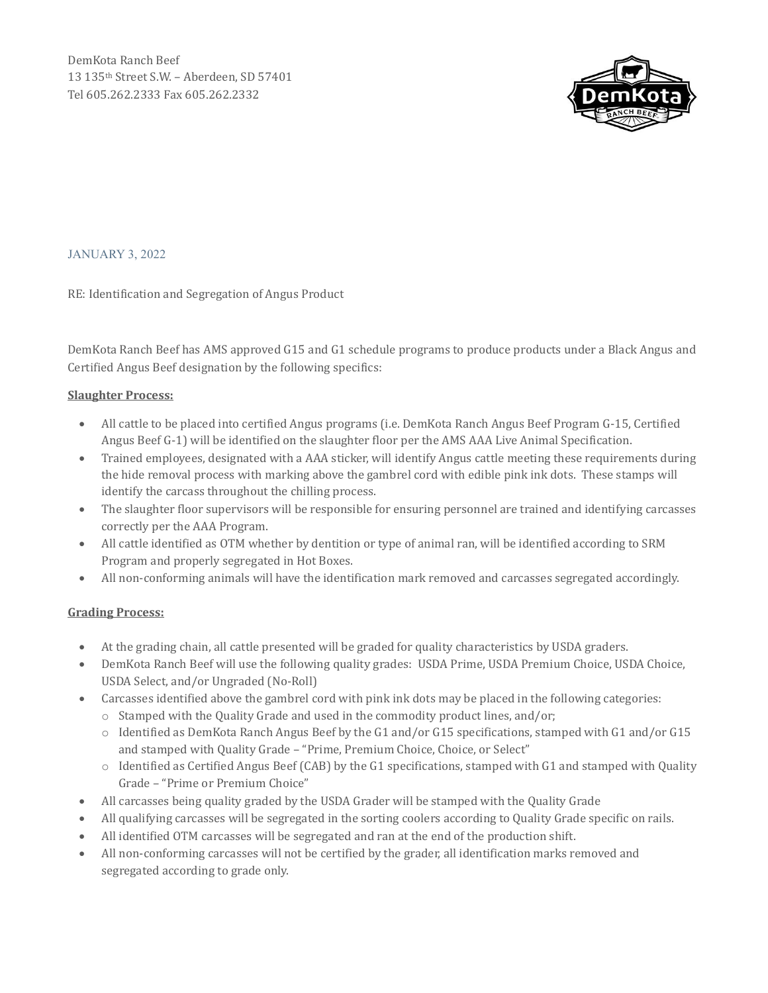

JANUARY 3, 2022

RE: Identification and Segregation of Angus Product

DemKota Ranch Beef has AMS approved G15 and G1 schedule programs to produce products under a Black Angus and Certified Angus Beef designation by the following specifics:

## **Slaughter Process:**

- All cattle to be placed into certified Angus programs (i.e. DemKota Ranch Angus Beef Program G-15, Certified Angus Beef G-1) will be identified on the slaughter floor per the AMS AAA Live Animal Specification.
- Trained employees, designated with a AAA sticker, will identify Angus cattle meeting these requirements during the hide removal process with marking above the gambrel cord with edible pink ink dots. These stamps will identify the carcass throughout the chilling process.
- The slaughter floor supervisors will be responsible for ensuring personnel are trained and identifying carcasses correctly per the AAA Program.
- All cattle identified as OTM whether by dentition or type of animal ran, will be identified according to SRM Program and properly segregated in Hot Boxes.
- All non-conforming animals will have the identification mark removed and carcasses segregated accordingly.

## **Grading Process:**

- At the grading chain, all cattle presented will be graded for quality characteristics by USDA graders.
- DemKota Ranch Beef will use the following quality grades: USDA Prime, USDA Premium Choice, USDA Choice, USDA Select, and/or Ungraded (No-Roll)
- Carcasses identified above the gambrel cord with pink ink dots may be placed in the following categories:
	- o Stamped with the Quality Grade and used in the commodity product lines, and/or;
	- o Identified as DemKota Ranch Angus Beef by the G1 and/or G15 specifications, stamped with G1 and/or G15 and stamped with Quality Grade – "Prime, Premium Choice, Choice, or Select"
	- $\circ$  Identified as Certified Angus Beef (CAB) by the G1 specifications, stamped with G1 and stamped with Quality Grade – "Prime or Premium Choice"
- All carcasses being quality graded by the USDA Grader will be stamped with the Quality Grade
- All qualifying carcasses will be segregated in the sorting coolers according to Quality Grade specific on rails.
- All identified OTM carcasses will be segregated and ran at the end of the production shift.
- All non-conforming carcasses will not be certified by the grader, all identification marks removed and segregated according to grade only.